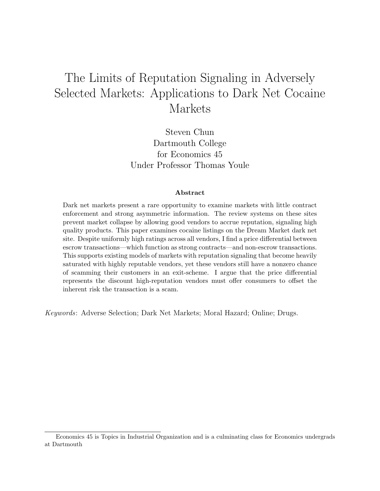# The Limits of Reputation Signaling in Adversely Selected Markets: Applications to Dark Net Cocaine Markets

Steven Chun Dartmouth College for Economics 45 Under Professor Thomas Youle

#### Abstract

Dark net markets present a rare opportunity to examine markets with little contract enforcement and strong asymmetric information. The review systems on these sites prevent market collapse by allowing good vendors to accrue reputation, signaling high quality products. This paper examines cocaine listings on the Dream Market dark net site. Despite uniformly high ratings across all vendors, I find a price differential between escrow transactions—which function as strong contracts—and non-escrow transactions. This supports existing models of markets with reputation signaling that become heavily saturated with highly reputable vendors, yet these vendors still have a nonzero chance of scamming their customers in an exit-scheme. I argue that the price differential represents the discount high-reputation vendors must offer consumers to offset the inherent risk the transaction is a scam.

Keywords: Adverse Selection; Dark Net Markets; Moral Hazard; Online; Drugs.

Economics 45 is Topics in Industrial Organization and is a culminating class for Economics undergrads at Dartmouth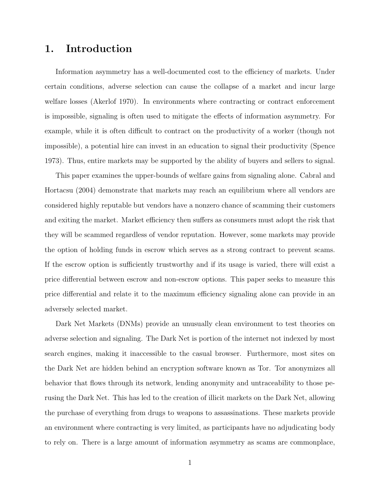# 1. Introduction

Information asymmetry has a well-documented cost to the efficiency of markets. Under certain conditions, adverse selection can cause the collapse of a market and incur large welfare losses (Akerlof 1970). In environments where contracting or contract enforcement is impossible, signaling is often used to mitigate the effects of information asymmetry. For example, while it is often difficult to contract on the productivity of a worker (though not impossible), a potential hire can invest in an education to signal their productivity (Spence 1973). Thus, entire markets may be supported by the ability of buyers and sellers to signal.

This paper examines the upper-bounds of welfare gains from signaling alone. Cabral and Hortacsu (2004) demonstrate that markets may reach an equilibrium where all vendors are considered highly reputable but vendors have a nonzero chance of scamming their customers and exiting the market. Market efficiency then suffers as consumers must adopt the risk that they will be scammed regardless of vendor reputation. However, some markets may provide the option of holding funds in escrow which serves as a strong contract to prevent scams. If the escrow option is sufficiently trustworthy and if its usage is varied, there will exist a price differential between escrow and non-escrow options. This paper seeks to measure this price differential and relate it to the maximum efficiency signaling alone can provide in an adversely selected market.

Dark Net Markets (DNMs) provide an unusually clean environment to test theories on adverse selection and signaling. The Dark Net is portion of the internet not indexed by most search engines, making it inaccessible to the casual browser. Furthermore, most sites on the Dark Net are hidden behind an encryption software known as Tor. Tor anonymizes all behavior that flows through its network, lending anonymity and untraceability to those perusing the Dark Net. This has led to the creation of illicit markets on the Dark Net, allowing the purchase of everything from drugs to weapons to assassinations. These markets provide an environment where contracting is very limited, as participants have no adjudicating body to rely on. There is a large amount of information asymmetry as scams are commonplace,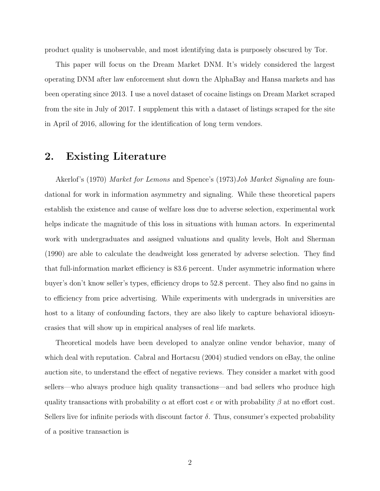product quality is unobservable, and most identifying data is purposely obscured by Tor.

This paper will focus on the Dream Market DNM. It's widely considered the largest operating DNM after law enforcement shut down the AlphaBay and Hansa markets and has been operating since 2013. I use a novel dataset of cocaine listings on Dream Market scraped from the site in July of 2017. I supplement this with a dataset of listings scraped for the site in April of 2016, allowing for the identification of long term vendors.

### 2. Existing Literature

Akerlof's (1970) *Market for Lemons* and Spence's (1973) *Job Market Signaling* are foundational for work in information asymmetry and signaling. While these theoretical papers establish the existence and cause of welfare loss due to adverse selection, experimental work helps indicate the magnitude of this loss in situations with human actors. In experimental work with undergraduates and assigned valuations and quality levels, Holt and Sherman (1990) are able to calculate the deadweight loss generated by adverse selection. They find that full-information market efficiency is 83.6 percent. Under asymmetric information where buyer's don't know seller's types, efficiency drops to 52.8 percent. They also find no gains in to efficiency from price advertising. While experiments with undergrads in universities are host to a litany of confounding factors, they are also likely to capture behavioral idiosyncrasies that will show up in empirical analyses of real life markets.

Theoretical models have been developed to analyze online vendor behavior, many of which deal with reputation. Cabral and Hortacsu (2004) studied vendors on eBay, the online auction site, to understand the effect of negative reviews. They consider a market with good sellers—who always produce high quality transactions—and bad sellers who produce high quality transactions with probability  $\alpha$  at effort cost e or with probability  $\beta$  at no effort cost. Sellers live for infinite periods with discount factor  $\delta$ . Thus, consumer's expected probability of a positive transaction is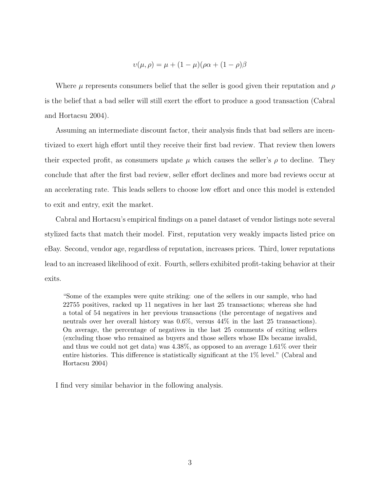$$
\upsilon(\mu,\rho) = \mu + (1-\mu)(\rho\alpha + (1-\rho)\beta)
$$

Where  $\mu$  represents consumers belief that the seller is good given their reputation and  $\rho$ is the belief that a bad seller will still exert the effort to produce a good transaction (Cabral and Hortacsu 2004).

Assuming an intermediate discount factor, their analysis finds that bad sellers are incentivized to exert high effort until they receive their first bad review. That review then lowers their expected profit, as consumers update  $\mu$  which causes the seller's  $\rho$  to decline. They conclude that after the first bad review, seller effort declines and more bad reviews occur at an accelerating rate. This leads sellers to choose low effort and once this model is extended to exit and entry, exit the market.

Cabral and Hortacsu's empirical findings on a panel dataset of vendor listings note several stylized facts that match their model. First, reputation very weakly impacts listed price on eBay. Second, vendor age, regardless of reputation, increases prices. Third, lower reputations lead to an increased likelihood of exit. Fourth, sellers exhibited profit-taking behavior at their exits.

"Some of the examples were quite striking: one of the sellers in our sample, who had 22755 positives, racked up 11 negatives in her last 25 transactions; whereas she had a total of 54 negatives in her previous transactions (the percentage of negatives and neutrals over her overall history was 0.6%, versus 44% in the last 25 transactions). On average, the percentage of negatives in the last 25 comments of exiting sellers (excluding those who remained as buyers and those sellers whose IDs became invalid, and thus we could not get data) was 4.38%, as opposed to an average 1.61% over their entire histories. This difference is statistically significant at the 1% level." (Cabral and Hortacsu 2004)

I find very similar behavior in the following analysis.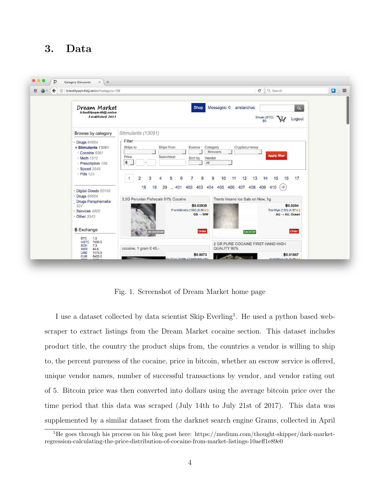# 3. Data



Fig. 1. Screenshot of Dream Market home page

I use a dataset collected by data scientist Skip Everling<sup>1</sup>. He used a python based webscraper to extract listings from the Dream Market cocaine section. This dataset includes product title, the country the product ships from, the countries a vendor is willing to ship to, the percent pureness of the cocaine, price in bitcoin, whether an escrow service is offered, unique vendor names, number of successful transactions by vendor, and vendor rating out of 5. Bitcoin price was then converted into dollars using the average bitcoin price over the time period that this data was scraped (July 14th to July 21st of 2017). This data was supplemented by a similar dataset from the darknet search engine Grams, collected in April

<sup>1</sup>He goes through his process on his blog post here: https://medium.com/thought-skipper/dark-marketregression-calculating-the-price-distribution-of-cocaine-from-market-listings-10aeff1e89e0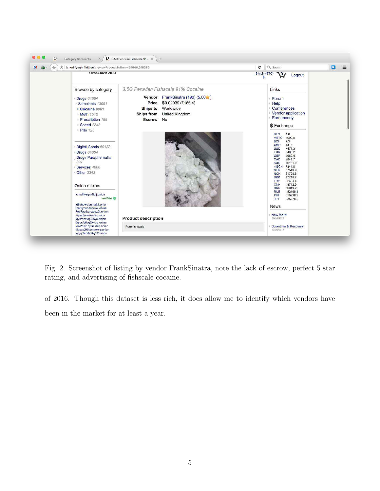

Fig. 2. Screenshot of listing by vendor FrankSinatra, note the lack of escrow, perfect 5 star rating, and advertising of fishscale cocaine.

of 2016. Though this dataset is less rich, it does allow me to identify which vendors have been in the market for at least a year.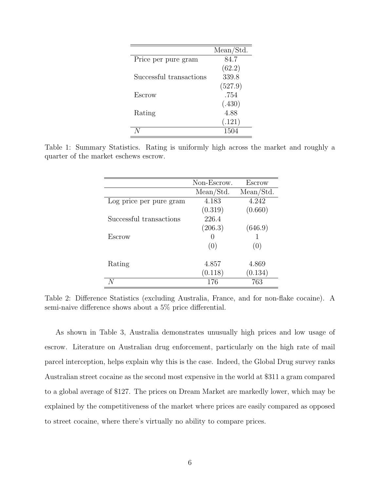|                         | Mean/Std. |
|-------------------------|-----------|
| Price per pure gram     | 84.7      |
|                         | (62.2)    |
| Successful transactions | 339.8     |
|                         | (527.9)   |
| Escrow                  | .754      |
|                         | (.430)    |
| Rating                  | 4.88      |
|                         | (.121)    |
|                         | 1504      |

Table 1: Summary Statistics. Rating is uniformly high across the market and roughly a quarter of the market eschews escrow.

|                         | Non-Escrow. | <b>Escrow</b> |
|-------------------------|-------------|---------------|
|                         | Mean/Std.   | Mean/Std.     |
| Log price per pure gram | 4.183       | 4.242         |
|                         | (0.319)     | (0.660)       |
| Successful transactions | 226.4       |               |
|                         | (206.3)     | (646.9)       |
| Escrow                  | 0           |               |
|                         | (0)         | (0)           |
|                         |             |               |
| Rating                  | 4.857       | 4.869         |
|                         | (0.118)     | (0.134)       |
|                         | 176         | 763           |

Table 2: Difference Statistics (excluding Australia, France, and for non-flake cocaine). A semi-naive difference shows about a 5% price differential.

As shown in Table 3, Australia demonstrates unusually high prices and low usage of escrow. Literature on Australian drug enforcement, particularly on the high rate of mail parcel interception, helps explain why this is the case. Indeed, the Global Drug survey ranks Australian street cocaine as the second most expensive in the world at \$311 a gram compared to a global average of \$127. The prices on Dream Market are markedly lower, which may be explained by the competitiveness of the market where prices are easily compared as opposed to street cocaine, where there's virtually no ability to compare prices.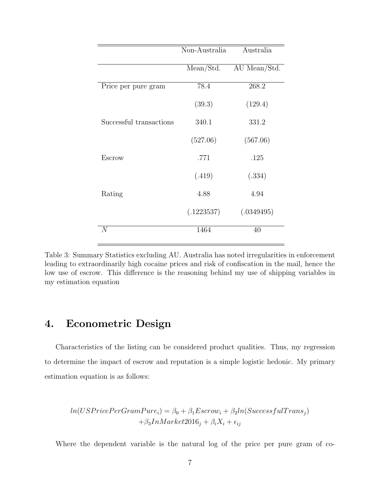|                         | Non-Australia | Australia    |  |
|-------------------------|---------------|--------------|--|
|                         | Mean/Std.     | AU Mean/Std. |  |
| Price per pure gram     | 78.4          | 268.2        |  |
|                         | (39.3)        | (129.4)      |  |
| Successful transactions | 340.1         | 331.2        |  |
|                         | (527.06)      | (567.06)     |  |
| Escrow                  | .771          | .125         |  |
|                         | (.419)        | (.334)       |  |
| Rating                  | 4.88          | 4.94         |  |
|                         | (.1223537)    | (.0349495)   |  |
| N                       | 1464          | 40           |  |

Table 3: Summary Statistics excluding AU. Australia has noted irregularities in enforcement leading to extraordinarily high cocaine prices and risk of confiscation in the mail, hence the low use of escrow. This difference is the reasoning behind my use of shipping variables in my estimation equation

## 4. Econometric Design

Characteristics of the listing can be considered product qualities. Thus, my regression to determine the impact of escrow and reputation is a simple logistic hedonic. My primary estimation equation is as follows:

$$
ln(USPricePerGramPure_i) = \beta_0 + \beta_1 Escrow_i + \beta_2 ln(SuccessfulTrans_j) + \beta_3 InMarket 2016_j + \beta_i X_i + \epsilon_{ij}
$$

Where the dependent variable is the natural log of the price per pure gram of co-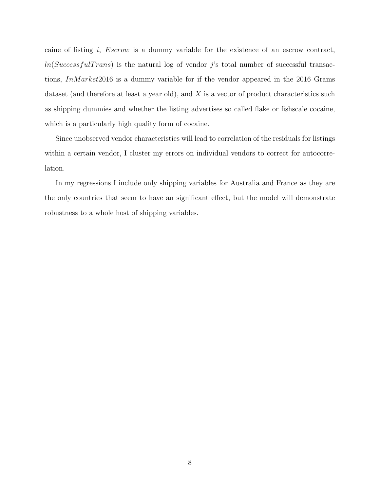caine of listing i, Escrow is a dummy variable for the existence of an escrow contract,  $ln(SuccessfulTrans)$  is the natural log of vendor j's total number of successful transactions, InMarket2016 is a dummy variable for if the vendor appeared in the 2016 Grams dataset (and therefore at least a year old), and  $X$  is a vector of product characteristics such as shipping dummies and whether the listing advertises so called flake or fishscale cocaine, which is a particularly high quality form of cocaine.

Since unobserved vendor characteristics will lead to correlation of the residuals for listings within a certain vendor, I cluster my errors on individual vendors to correct for autocorrelation.

In my regressions I include only shipping variables for Australia and France as they are the only countries that seem to have an significant effect, but the model will demonstrate robustness to a whole host of shipping variables.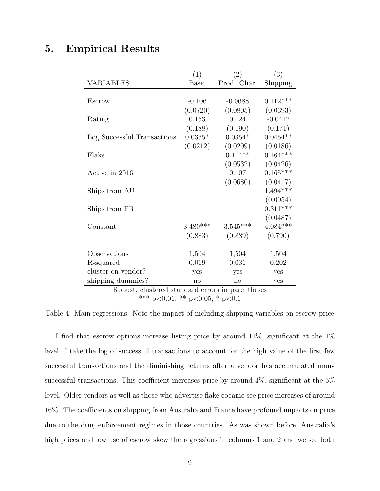# 5. Empirical Results

| (1)          | (2)         | (3)        |
|--------------|-------------|------------|
| <b>Basic</b> | Prod. Char. | Shipping   |
|              |             |            |
| $-0.106$     | $-0.0688$   | $0.112***$ |
| (0.0720)     | (0.0805)    | (0.0393)   |
| 0.153        | 0.124       | $-0.0412$  |
| (0.188)      | (0.190)     | (0.171)    |
| $0.0365*$    | $0.0354*$   | $0.0454**$ |
| (0.0212)     | (0.0209)    | (0.0186)   |
|              | $0.114**$   | $0.164***$ |
|              | (0.0532)    | (0.0426)   |
|              | 0.107       | $0.165***$ |
|              | (0.0680)    | (0.0417)   |
|              |             | $1.494***$ |
|              |             | (0.0954)   |
|              |             | $0.311***$ |
|              |             | (0.0487)   |
| $3.480***$   | $3.545***$  | $4.084***$ |
| (0.883)      | (0.889)     | (0.790)    |
|              |             |            |
| 1,504        | 1,504       | 1,504      |
| 0.019        | 0.031       | 0.202      |
| yes          | yes         | yes        |
| no           | no          | yes        |
|              |             |            |

Robust, clustered standard errors in parentheses \*\*\* p<0.01, \*\* p<0.05, \* p<0.1

Table 4: Main regressions. Note the impact of including shipping variables on escrow price

I find that escrow options increase listing price by around 11%, significant at the 1% level. I take the log of successful transactions to account for the high value of the first few successful transactions and the diminishing returns after a vendor has accumulated many successful transactions. This coefficient increases price by around 4%, significant at the 5% level. Older vendors as well as those who advertise flake cocaine see price increases of around 16%. The coefficients on shipping from Australia and France have profound impacts on price due to the drug enforcement regimes in those countries. As was shown before, Australia's high prices and low use of escrow skew the regressions in columns 1 and 2 and we see both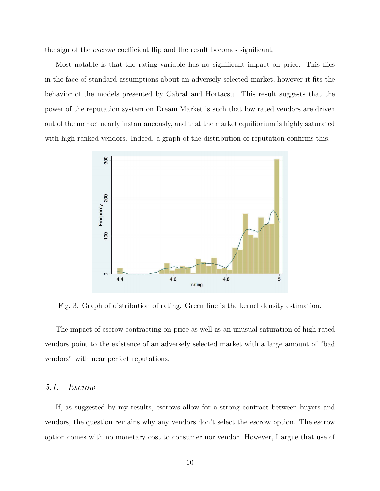the sign of the escrow coefficient flip and the result becomes significant.

Most notable is that the rating variable has no significant impact on price. This flies in the face of standard assumptions about an adversely selected market, however it fits the behavior of the models presented by Cabral and Hortacsu. This result suggests that the power of the reputation system on Dream Market is such that low rated vendors are driven out of the market nearly instantaneously, and that the market equilibrium is highly saturated with high ranked vendors. Indeed, a graph of the distribution of reputation confirms this.



Fig. 3. Graph of distribution of rating. Green line is the kernel density estimation.

The impact of escrow contracting on price as well as an unusual saturation of high rated vendors point to the existence of an adversely selected market with a large amount of "bad vendors" with near perfect reputations.

#### 5.1. Escrow

If, as suggested by my results, escrows allow for a strong contract between buyers and vendors, the question remains why any vendors don't select the escrow option. The escrow option comes with no monetary cost to consumer nor vendor. However, I argue that use of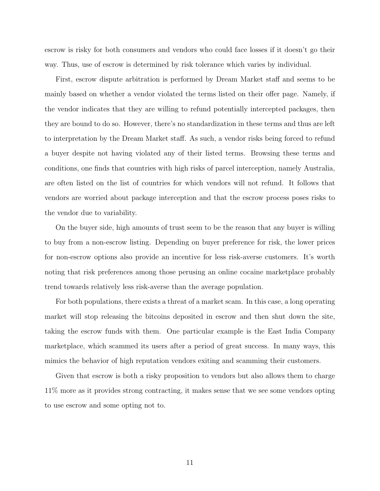escrow is risky for both consumers and vendors who could face losses if it doesn't go their way. Thus, use of escrow is determined by risk tolerance which varies by individual.

First, escrow dispute arbitration is performed by Dream Market staff and seems to be mainly based on whether a vendor violated the terms listed on their offer page. Namely, if the vendor indicates that they are willing to refund potentially intercepted packages, then they are bound to do so. However, there's no standardization in these terms and thus are left to interpretation by the Dream Market staff. As such, a vendor risks being forced to refund a buyer despite not having violated any of their listed terms. Browsing these terms and conditions, one finds that countries with high risks of parcel interception, namely Australia, are often listed on the list of countries for which vendors will not refund. It follows that vendors are worried about package interception and that the escrow process poses risks to the vendor due to variability.

On the buyer side, high amounts of trust seem to be the reason that any buyer is willing to buy from a non-escrow listing. Depending on buyer preference for risk, the lower prices for non-escrow options also provide an incentive for less risk-averse customers. It's worth noting that risk preferences among those perusing an online cocaine marketplace probably trend towards relatively less risk-averse than the average population.

For both populations, there exists a threat of a market scam. In this case, a long operating market will stop releasing the bitcoins deposited in escrow and then shut down the site, taking the escrow funds with them. One particular example is the East India Company marketplace, which scammed its users after a period of great success. In many ways, this mimics the behavior of high reputation vendors exiting and scamming their customers.

Given that escrow is both a risky proposition to vendors but also allows them to charge 11% more as it provides strong contracting, it makes sense that we see some vendors opting to use escrow and some opting not to.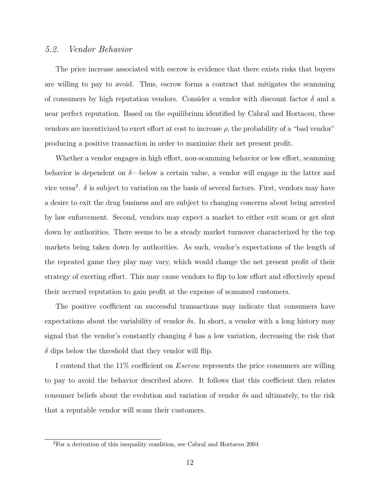#### 5.2. Vendor Behavior

The price increase associated with escrow is evidence that there exists risks that buyers are willing to pay to avoid. Thus, escrow forms a contract that mitigates the scamming of consumers by high reputation vendors. Consider a vendor with discount factor  $\delta$  and a near perfect reputation. Based on the equilibrium identified by Cabral and Hortacsu, these vendors are incentivized to exert effort at cost to increase  $\rho$ , the probability of a "bad vendor" producing a positive transaction in order to maximize their net present profit.

Whether a vendor engages in high effort, non-scamming behavior or low effort, scamming behavior is dependent on  $\delta$ —below a certain value, a vendor will engage in the latter and vice versa<sup>2</sup>.  $\delta$  is subject to variation on the basis of several factors. First, vendors may have a desire to exit the drug business and are subject to changing concerns about being arrested by law enforcement. Second, vendors may expect a market to either exit scam or get shut down by authorities. There seems to be a steady market turnover characterized by the top markets being taken down by authorities. As such, vendor's expectations of the length of the repeated game they play may vary, which would change the net present profit of their strategy of exerting effort. This may cause vendors to flip to low effort and effectively spend their accrued reputation to gain profit at the expense of scammed customers.

The positive coefficient on successful transactions may indicate that consumers have expectations about the variability of vendor  $\delta$ s. In short, a vendor with a long history may signal that the vendor's constantly changing  $\delta$  has a low variation, decreasing the risk that  $\delta$  dips below the threshold that they vendor will flip.

I contend that the 11% coefficient on *Escrow* represents the price consumers are willing to pay to avoid the behavior described above. It follows that this coefficient then relates consumer beliefs about the evolution and variation of vendor  $\delta s$  and ultimately, to the risk that a reputable vendor will scam their customers.

<sup>2</sup>For a derivation of this inequality condition, see Cabral and Hortacsu 2004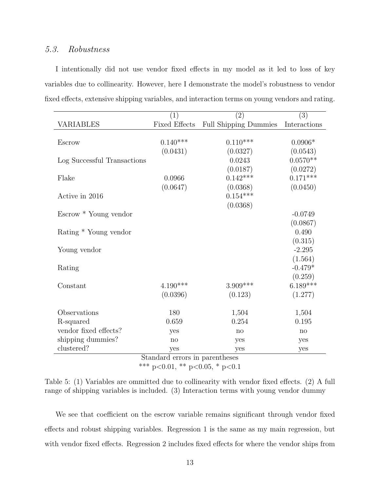### 5.3. Robustness

I intentionally did not use vendor fixed effects in my model as it led to loss of key variables due to collinearity. However, here I demonstrate the model's robustness to vendor fixed effects, extensive shipping variables, and interaction terms on young vendors and rating.

|                                | $\left( 1\right)$    | $\left( 2\right)$            | (3)          |  |
|--------------------------------|----------------------|------------------------------|--------------|--|
| <b>VARIABLES</b>               | <b>Fixed Effects</b> | <b>Full Shipping Dummies</b> | Interactions |  |
|                                |                      |                              |              |  |
| Escrow                         | $0.140***$           | $0.110***$                   | $0.0906*$    |  |
|                                | (0.0431)             | (0.0327)                     | (0.0543)     |  |
| Log Successful Transactions    |                      | 0.0243                       | $0.0570**$   |  |
|                                |                      | (0.0187)                     | (0.0272)     |  |
| Flake                          | 0.0966               | $0.142***$                   | $0.171***$   |  |
|                                | (0.0647)             | (0.0368)                     | (0.0450)     |  |
| Active in 2016                 |                      | $0.154***$                   |              |  |
|                                |                      | (0.0368)                     |              |  |
| Escrow * Young vendor          |                      |                              | $-0.0749$    |  |
|                                |                      |                              | (0.0867)     |  |
| Rating * Young vendor          |                      |                              | 0.490        |  |
|                                |                      |                              | (0.315)      |  |
| Young vendor                   |                      |                              | $-2.295$     |  |
|                                |                      |                              | (1.564)      |  |
| Rating                         |                      |                              | $-0.479*$    |  |
|                                |                      |                              | (0.259)      |  |
| Constant                       | $4.190***$           | $3.909***$                   | $6.189***$   |  |
|                                | (0.0396)             | (0.123)                      | (1.277)      |  |
|                                |                      |                              |              |  |
| Observations                   | 180                  | 1,504                        | 1,504        |  |
| R-squared                      | 0.659                | 0.254                        | 0.195        |  |
| vendor fixed effects?          | yes                  | no                           | no           |  |
| shipping dummies?              | no                   | yes                          | yes          |  |
| clustered?                     | yes                  | yes                          | yes          |  |
| Standard errors in parentheses |                      |                              |              |  |

\*\*\* p<0.01, \*\* p<0.05, \* p<0.1

We see that coefficient on the escrow variable remains significant through vendor fixed effects and robust shipping variables. Regression 1 is the same as my main regression, but with vendor fixed effects. Regression 2 includes fixed effects for where the vendor ships from

Table 5: (1) Variables are ommitted due to collinearity with vendor fixed effects. (2) A full range of shipping variables is included. (3) Interaction terms with young vendor dummy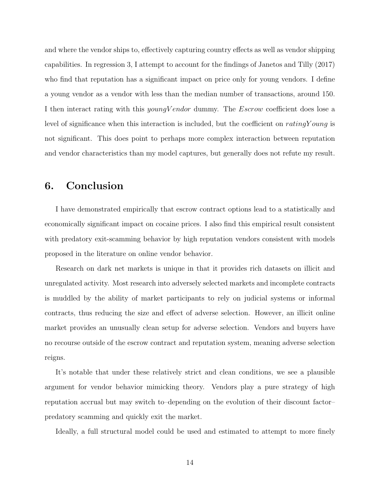and where the vendor ships to, effectively capturing country effects as well as vendor shipping capabilities. In regression 3, I attempt to account for the findings of Janetos and Tilly (2017) who find that reputation has a significant impact on price only for young vendors. I define a young vendor as a vendor with less than the median number of transactions, around 150. I then interact rating with this *youngVendor* dummy. The *Escrow* coefficient does lose a level of significance when this interaction is included, but the coefficient on  $rating Young$  is not significant. This does point to perhaps more complex interaction between reputation and vendor characteristics than my model captures, but generally does not refute my result.

### 6. Conclusion

I have demonstrated empirically that escrow contract options lead to a statistically and economically significant impact on cocaine prices. I also find this empirical result consistent with predatory exit-scamming behavior by high reputation vendors consistent with models proposed in the literature on online vendor behavior.

Research on dark net markets is unique in that it provides rich datasets on illicit and unregulated activity. Most research into adversely selected markets and incomplete contracts is muddled by the ability of market participants to rely on judicial systems or informal contracts, thus reducing the size and effect of adverse selection. However, an illicit online market provides an unusually clean setup for adverse selection. Vendors and buyers have no recourse outside of the escrow contract and reputation system, meaning adverse selection reigns.

It's notable that under these relatively strict and clean conditions, we see a plausible argument for vendor behavior mimicking theory. Vendors play a pure strategy of high reputation accrual but may switch to–depending on the evolution of their discount factor– predatory scamming and quickly exit the market.

Ideally, a full structural model could be used and estimated to attempt to more finely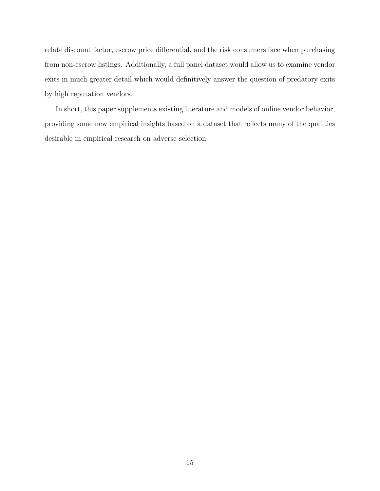relate discount factor, escrow price differential, and the risk consumers face when purchasing from non-escrow listings. Additionally, a full panel dataset would allow us to examine vendor exits in much greater detail which would definitively answer the question of predatory exits by high reputation vendors.

In short, this paper supplements existing literature and models of online vendor behavior, providing some new empirical insights based on a dataset that reflects many of the qualities desirable in empirical research on adverse selection.